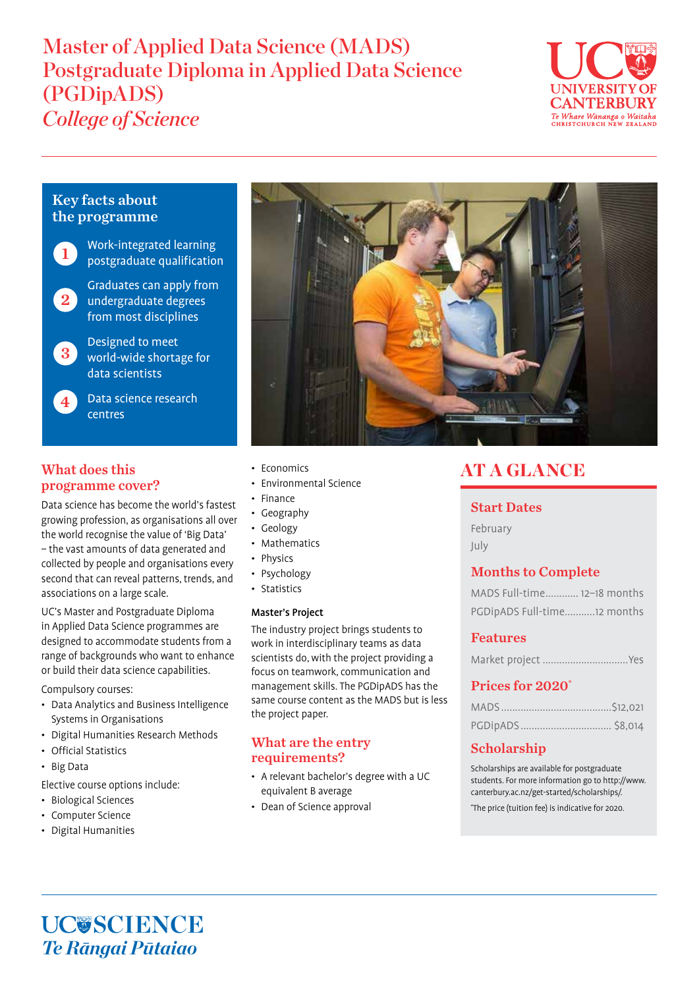# Master of Applied Data Science (MADS) Postgraduate Diploma in Applied Data Science (PGDipADS) *College of Science*



# Key facts about the programme

Work-integrated learning postgraduate qualification

1

Graduates can apply from 2 undergraduate degrees from most disciplines

Designed to meet world-wide shortage for data scientists 3

4

Data science research centres

# What does this programme cover?

Data science has become the world's fastest growing profession, as organisations all over the world recognise the value of 'Big Data' – the vast amounts of data generated and collected by people and organisations every second that can reveal patterns, trends, and associations on a large scale.

UC's Master and Postgraduate Diploma in Applied Data Science programmes are designed to accommodate students from a range of backgrounds who want to enhance or build their data science capabilities.

Compulsory courses:

- Data Analytics and Business Intelligence Systems in Organisations
- Digital Humanities Research Methods
- Official Statistics
- Big Data

Elective course options include:

- Biological Sciences
- Computer Science
- Digital Humanities
- Economics
- Environmental Science
- Finance
- Geography
- Geology
- Mathematics
- Physics
- Psychology
- Statistics

### Master's Project

The industry project brings students to work in interdisciplinary teams as data scientists do, with the project providing a focus on teamwork, communication and management skills. The PGDipADS has the same course content as the MADS but is less the project paper.

## What are the entry requirements?

- A relevant bachelor's degree with a UC equivalent B average
- Dean of Science approval

# AT A GLANCE

## Start Dates

February July

# Months to Complete

| MADS Full-time 12-18 months |  |
|-----------------------------|--|
| PGDipADS Full-time12 months |  |

## Features

Market project ...............................Yes

# Prices for 2020\*

# Scholarship

Scholarships are available for postgraduate students. For more information go to http://www. canterbury.ac.nz/get-started/scholarships/.

\* The price (tuition fee) is indicative for 2020.

**UC@SCIENCE** *Te Rāngai Pūtaiao*